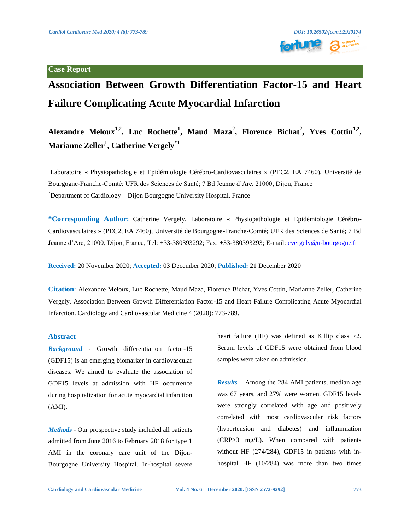# **Case Report**



# **Association Between Growth Differentiation Factor-15 and Heart Failure Complicating Acute Myocardial Infarction**

Alexandre Meloux<sup>1,2</sup>, Luc Rochette<sup>1</sup>, Maud Maza<sup>2</sup>, Florence Bichat<sup>2</sup>, Yves Cottin<sup>1,2</sup>, **Marianne Zeller<sup>1</sup> , Catherine Vergely\*1**

<sup>1</sup>Laboratoire « Physiopathologie et Epidémiologie Cérébro-Cardiovasculaires » (PEC2, EA 7460), Université de Bourgogne-Franche-Comté; UFR des Sciences de Santé; 7 Bd Jeanne d'Arc, 21000, Dijon, France <sup>2</sup>Department of Cardiology – Dijon Bourgogne University Hospital, France

**\*Corresponding Author:** Catherine Vergely, Laboratoire « Physiopathologie et Epidémiologie Cérébro-Cardiovasculaires » (PEC2, EA 7460), Université de Bourgogne-Franche-Comté; UFR des Sciences de Santé; 7 Bd Jeanne d'Arc, 21000, Dijon, France, Tel: +33-380393292; Fax: +33-380393293; E-mail: *cvergely@u-bourgogne.fr* 

**Received:** 20 November 2020; **Accepted:** 03 December 2020; **Published:** 21 December 2020

**Citation**: Alexandre Meloux, Luc Rochette, Maud Maza, Florence Bichat, Yves Cottin, Marianne Zeller, Catherine Vergely. Association Between Growth Differentiation Factor-15 and Heart Failure Complicating Acute Myocardial Infarction. Cardiology and Cardiovascular Medicine 4 (2020): 773-789.

#### **Abstract**

*Background -* Growth differentiation factor-15 (GDF15) is an emerging biomarker in cardiovascular diseases. We aimed to evaluate the association of GDF15 levels at admission with HF occurrence during hospitalization for acute myocardial infarction (AMI).

*Methods -* Our prospective study included all patients admitted from June 2016 to February 2018 for type 1 AMI in the coronary care unit of the Dijon-Bourgogne University Hospital. In-hospital severe heart failure (HF) was defined as Killip class  $>2$ . Serum levels of GDF15 were obtained from blood samples were taken on admission.

*Results* – Among the 284 AMI patients, median age was 67 years, and 27% were women. GDF15 levels were strongly correlated with age and positively correlated with most cardiovascular risk factors (hypertension and diabetes) and inflammation (CRP>3 mg/L). When compared with patients without HF (274/284), GDF15 in patients with inhospital HF (10/284) was more than two times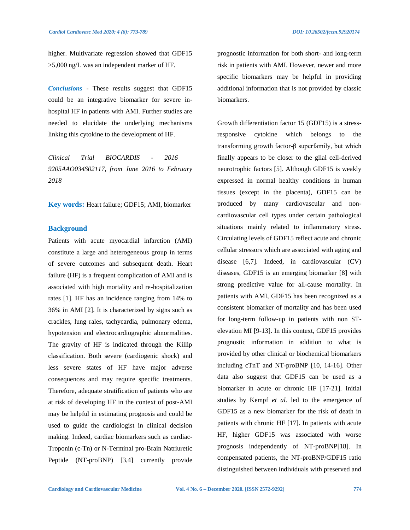higher. Multivariate regression showed that GDF15 >5,000 ng/L was an independent marker of HF.

*Conclusions* - These results suggest that GDF15 could be an integrative biomarker for severe inhospital HF in patients with AMI. Further studies are needed to elucidate the underlying mechanisms linking this cytokine to the development of HF.

*Clinical Trial BIOCARDIS - 2016 – 9205AAO034S02117, from June 2016 to February 2018*

**Key words:** Heart failure; GDF15; AMI, biomarker

#### **Background**

Patients with acute myocardial infarction (AMI) constitute a large and heterogeneous group in terms of severe outcomes and subsequent death. Heart failure (HF) is a frequent complication of AMI and is associated with high mortality and re-hospitalization rates [1]. HF has an incidence ranging from 14% to 36% in AMI [2]. It is characterized by signs such as crackles, lung rales, tachycardia, pulmonary edema, hypotension and electrocardiographic abnormalities. The gravity of HF is indicated through the Killip classification. Both severe (cardiogenic shock) and less severe states of HF have major adverse consequences and may require specific treatments. Therefore, adequate stratification of patients who are at risk of developing HF in the context of post-AMI may be helpful in estimating prognosis and could be used to guide the cardiologist in clinical decision making. Indeed, cardiac biomarkers such as cardiac-Troponin (c-Tn) or N-Terminal pro-Brain Natriuretic Peptide (NT-proBNP) [3,4] currently provide prognostic information for both short- and long-term risk in patients with AMI. However, newer and more specific biomarkers may be helpful in providing additional information that is not provided by classic biomarkers.

Growth differentiation factor 15 (GDF15) is a stressresponsive cytokine which belongs to the transforming growth factor-β superfamily, but which finally appears to be closer to the glial cell-derived neurotrophic factors [5]. Although GDF15 is weakly expressed in normal healthy conditions in human tissues (except in the placenta), GDF15 can be produced by many cardiovascular and noncardiovascular cell types under certain pathological situations mainly related to inflammatory stress. Circulating levels of GDF15 reflect acute and chronic cellular stressors which are associated with aging and disease [6,7]. Indeed, in cardiovascular (CV) diseases, GDF15 is an emerging biomarker [8] with strong predictive value for all-cause mortality. In patients with AMI, GDF15 has been recognized as a consistent biomarker of mortality and has been used for long-term follow-up in patients with non STelevation MI [9-13]. In this context, GDF15 provides prognostic information in addition to what is provided by other clinical or biochemical biomarkers including cTnT and NT-proBNP [10, 14-16]. Other data also suggest that GDF15 can be used as a biomarker in acute or chronic HF [17-21]. Initial studies by Kempf *et al.* led to the emergence of GDF15 as a new biomarker for the risk of death in patients with chronic HF [17]. In patients with acute HF, higher GDF15 was associated with worse prognosis independently of NT-proBNP[18]. In compensated patients, the NT-proBNP/GDF15 ratio distinguished between individuals with preserved and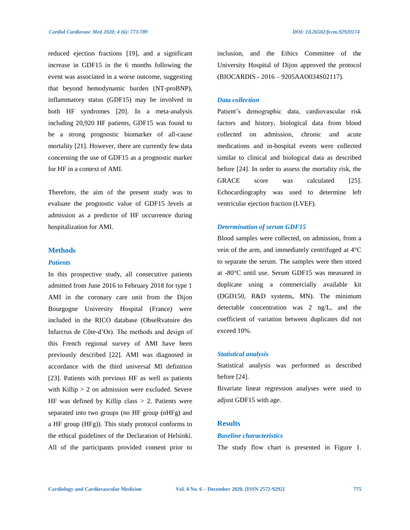reduced ejection fractions [19], and a significant increase in GDF15 in the 6 months following the event was associated in a worse outcome, suggesting that beyond hemodynamic burden (NT-proBNP), inflammatory status (GDF15) may be involved in both HF syndromes [20]. In a meta-analysis including 20,920 HF patients, GDF15 was found to be a strong prognostic biomarker of all-cause mortality [21]. However, there are currently few data concerning the use of GDF15 as a prognostic marker for HF in a context of AMI.

Therefore, the aim of the present study was to evaluate the prognostic value of GDF15 levels at admission as a predictor of HF occurrence during hospitalization for AMI.

### **Methods**

#### *Patients*

In this prospective study, all consecutive patients admitted from June 2016 to February 2018 for type 1 AMI in the coronary care unit from the Dijon Bourgogne University Hospital (France) were included in the RICO database (ObseRvatoire des Infarctus de Côte-d'Or). The methods and design of this French regional survey of AMI have been previously described [22]. AMI was diagnosed in accordance with the third universal MI definition [23]. Patients with previous HF as well as patients with Killip > 2 on admission were excluded. Severe HF was defined by Killip class  $> 2$ . Patients were separated into two groups (no HF group (nHFg) and a HF group (HFg)). This study protocol conforms to the ethical guidelines of the Declaration of Helsinki. All of the participants provided consent prior to

inclusion, and the Ethics Committee of the University Hospital of Dijon approved the protocol (BIOCARDIS - 2016 – 9205AAO034S02117).

#### *Data collection*

Patient's demographic data, cardiovascular risk factors and history, biological data from blood collected on admission, chronic and acute medications and in-hospital events were collected similar to clinical and biological data as described before [24]. In order to assess the mortality risk, the GRACE score was calculated [25]. Echocardiography was used to determine left ventricular ejection fraction (LVEF).

#### *Determination of serum GDF15*

Blood samples were collected, on admission, from a vein of the arm, and immediately centrifuged at 4°C to separate the serum. The samples were then stored at -80°C until use. Serum GDF15 was measured in duplicate using a commercially available kit (DGD150, R&D systems, MN). The minimum detectable concentration was 2 ng/L, and the coefficient of variation between duplicates did not exceed 10%.

#### *Statistical analysis*

Statistical analysis was performed as described before [24].

Bivariate linear regression analyses were used to adjust GDF15 with age.

# **Results**

#### *Baseline characteristics*

The study flow chart is presented in Figure 1.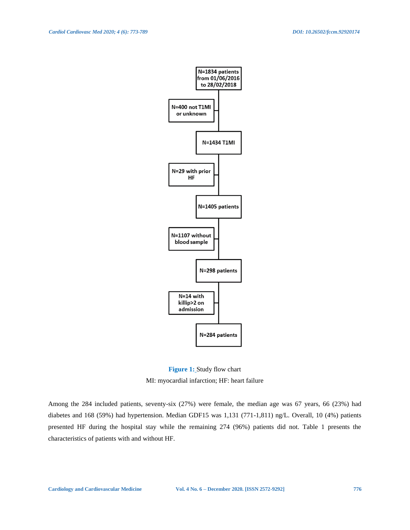

**Figure 1:** Study flow chart MI: myocardial infarction; HF: heart failure

Among the 284 included patients, seventy-six (27%) were female, the median age was 67 years, 66 (23%) had diabetes and 168 (59%) had hypertension. Median GDF15 was 1,131 (771-1,811) ng/L. Overall, 10 (4%) patients presented HF during the hospital stay while the remaining 274 (96%) patients did not. Table 1 presents the characteristics of patients with and without HF.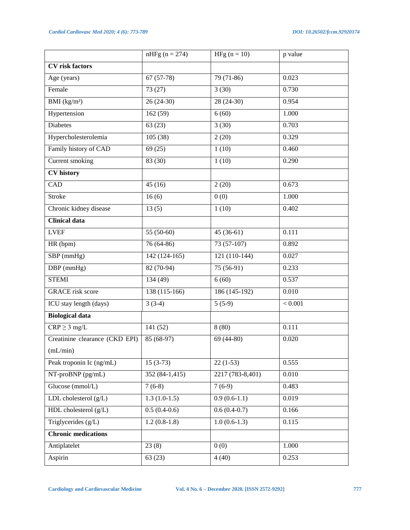|                                | $nHFg (n = 274)$ | HFg $(n = 10)$   | p value |
|--------------------------------|------------------|------------------|---------|
| <b>CV</b> risk factors         |                  |                  |         |
| Age (years)                    | $67(57-78)$      | $79(71-86)$      | 0.023   |
| Female                         | 73 (27)          | 3(30)            | 0.730   |
| BMI (kg/m <sup>2</sup> )       | $26(24-30)$      | 28 (24-30)       | 0.954   |
| Hypertension                   | 162(59)          | 6(60)            | 1.000   |
| <b>Diabetes</b>                | 63(23)           | 3(30)            | 0.703   |
| Hypercholesterolemia           | 105(38)          | 2(20)            | 0.329   |
| Family history of CAD          | 69(25)           | 1(10)            | 0.460   |
| Current smoking                | 83 (30)          | 1(10)            | 0.290   |
| <b>CV</b> history              |                  |                  |         |
| CAD                            | 45(16)           | 2(20)            | 0.673   |
| <b>Stroke</b>                  | 16(6)            | 0(0)             | 1.000   |
| Chronic kidney disease         | 13(5)            | 1(10)            | 0.402   |
| <b>Clinical data</b>           |                  |                  |         |
| <b>LVEF</b>                    | $55(50-60)$      | $45(36-61)$      | 0.111   |
| HR (bpm)                       | 76 (64-86)       | 73 (57-107)      | 0.892   |
| SBP (mmHg)                     | $142(124-165)$   | 121 (110-144)    | 0.027   |
| $DBP$ (mmHg)                   | 82 (70-94)       | 75 (56-91)       | 0.233   |
| <b>STEMI</b>                   | 134 (49)         | 6(60)            | 0.537   |
| <b>GRACE</b> risk score        | 138 (115-166)    | 186 (145-192)    | 0.010   |
| ICU stay length (days)         | $3(3-4)$         | $5(5-9)$         | < 0.001 |
| <b>Biological data</b>         |                  |                  |         |
| $CRP \geq 3$ mg/L              | 141(52)          | 8(80)            | 0.111   |
| Creatinine clearance (CKD EPI) | 85 (68-97)       | 69 (44-80)       | 0.020   |
| (mL/min)                       |                  |                  |         |
| Peak troponin Ic (ng/mL)       | $15(3-73)$       | $22(1-53)$       | 0.555   |
| NT-proBNP (pg/mL)              | 352 (84-1,415)   | 2217 (783-8,401) | 0.010   |
| Glucose (mmol/L)               | $7(6-8)$         | $7(6-9)$         | 0.483   |
| LDL cholesterol (g/L)          | $1.3(1.0-1.5)$   | $0.9(0.6-1.1)$   | 0.019   |
| HDL cholesterol $(g/L)$        | $0.5(0.4-0.6)$   | $0.6(0.4-0.7)$   | 0.166   |
| Triglycerides $(g/L)$          | $1.2(0.8-1.8)$   | $1.0(0.6-1.3)$   | 0.115   |
| <b>Chronic medications</b>     |                  |                  |         |
| Antiplatelet                   | 23(8)            | 0(0)             | 1.000   |
| Aspirin                        | 63(23)           | 4(40)            | 0.253   |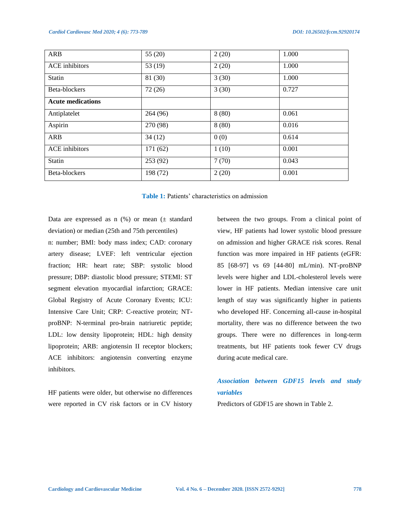| ARB                      | 55 $(20)$ | 2(20) | 1.000 |
|--------------------------|-----------|-------|-------|
| <b>ACE</b> inhibitors    | 53 $(19)$ | 2(20) | 1.000 |
| <b>Statin</b>            | 81 (30)   | 3(30) | 1.000 |
| Beta-blockers            | 72(26)    | 3(30) | 0.727 |
| <b>Acute medications</b> |           |       |       |
| Antiplatelet             | 264 (96)  | 8(80) | 0.061 |
| Aspirin                  | 270 (98)  | 8(80) | 0.016 |
| ARB                      | 34(12)    | 0(0)  | 0.614 |
| <b>ACE</b> inhibitors    | 171 (62)  | 1(10) | 0.001 |
| <b>Statin</b>            | 253(92)   | 7(70) | 0.043 |
| Beta-blockers            | 198 (72)  | 2(20) | 0.001 |

**Table 1:** Patients' characteristics on admission

Data are expressed as n  $(\%)$  or mean  $(\pm$  standard deviation) or median (25th and 75th percentiles) n: number; BMI: body mass index; CAD: coronary artery disease; LVEF: left ventricular ejection fraction; HR: heart rate; SBP: systolic blood pressure; DBP: diastolic blood pressure; STEMI: ST segment elevation myocardial infarction; GRACE: Global Registry of Acute Coronary Events; ICU: Intensive Care Unit; CRP: C-reactive protein; NTproBNP: N-terminal pro-brain natriuretic peptide; LDL: low density lipoprotein; HDL: high density lipoprotein; ARB: angiotensin II receptor blockers; ACE inhibitors: angiotensin converting enzyme inhibitors.

HF patients were older, but otherwise no differences were reported in CV risk factors or in CV history between the two groups. From a clinical point of view, HF patients had lower systolic blood pressure on admission and higher GRACE risk scores. Renal function was more impaired in HF patients (eGFR: 85 [68-97] vs 69 [44-80] mL/min). NT-proBNP levels were higher and LDL-cholesterol levels were lower in HF patients. Median intensive care unit length of stay was significantly higher in patients who developed HF. Concerning all-cause in-hospital mortality, there was no difference between the two groups. There were no differences in long-term treatments, but HF patients took fewer CV drugs during acute medical care.

# *Association between GDF15 levels and study variables*

Predictors of GDF15 are shown in Table 2.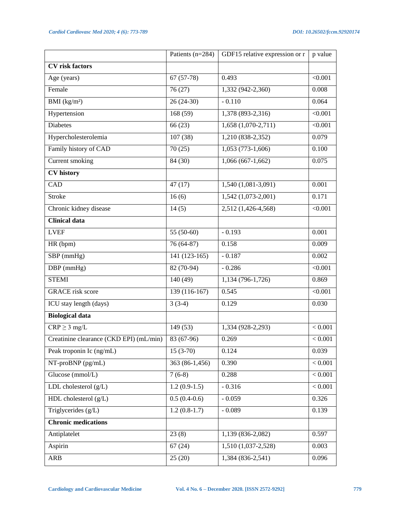|                                         | Patients (n=284) | GDF15 relative expression or r | p value |
|-----------------------------------------|------------------|--------------------------------|---------|
| <b>CV</b> risk factors                  |                  |                                |         |
| Age (years)                             | $67(57-78)$      | 0.493                          | < 0.001 |
| Female                                  | 76(27)           | 1,332 (942-2,360)              | 0.008   |
| BMI (kg/m <sup>2</sup> )                | $26(24-30)$      | $-0.110$                       | 0.064   |
| Hypertension                            | 168(59)          | 1,378 (893-2,316)              | < 0.001 |
| <b>Diabetes</b>                         | 66(23)           | 1,658 (1,070-2,711)            | < 0.001 |
| Hypercholesterolemia                    | 107(38)          | 1,210 (838-2,352)              | 0.079   |
| Family history of CAD                   | 70(25)           | $1,053(773-1,606)$             | 0.100   |
| Current smoking                         | 84 (30)          | $1,066(667-1,662)$             | 0.075   |
| <b>CV</b> history                       |                  |                                |         |
| CAD                                     | 47(17)           | $1,540(1,081-3,091)$           | 0.001   |
| <b>Stroke</b>                           | 16(6)            | 1,542 (1,073-2,001)            | 0.171   |
| Chronic kidney disease                  | 14(5)            | 2,512 (1,426-4,568)            | < 0.001 |
| <b>Clinical data</b>                    |                  |                                |         |
| <b>LVEF</b>                             | 55 (50-60)       | $-0.193$                       | 0.001   |
| HR (bpm)                                | $76(64-87)$      | 0.158                          | 0.009   |
| SBP (mmHg)                              | 141 (123-165)    | $-0.187$                       | 0.002   |
| DBP (mmHg)                              | 82 (70-94)       | $-0.286$                       | < 0.001 |
| <b>STEMI</b>                            | 140(49)          | 1,134 (796-1,726)              | 0.869   |
| <b>GRACE</b> risk score                 | 139 (116-167)    | 0.545                          | < 0.001 |
| ICU stay length (days)                  | $3(3-4)$         | 0.129                          | 0.030   |
| <b>Biological data</b>                  |                  |                                |         |
| $CRP \geq 3$ mg/L                       | 149 (53)         | 1,334 (928-2,293)              | < 0.001 |
| Creatinine clearance (CKD EPI) (mL/min) | 83 (67-96)       | 0.269                          | < 0.001 |
| Peak troponin Ic (ng/mL)                | $15(3-70)$       | 0.124                          | 0.039   |
| NT-proBNP (pg/mL)                       | 363 (86-1,456)   | 0.390                          | < 0.001 |
| Glucose (mmol/L)                        | $7(6-8)$         | 0.288                          | < 0.001 |
| LDL cholesterol $(g/L)$                 | $1.2(0.9-1.5)$   | $-0.316$                       | < 0.001 |
| HDL cholesterol (g/L)                   | $0.5(0.4-0.6)$   | $-0.059$                       | 0.326   |
| Triglycerides (g/L)                     | $1.2(0.8-1.7)$   | $-0.089$                       | 0.139   |
| <b>Chronic medications</b>              |                  |                                |         |
| Antiplatelet                            | 23(8)            | 1,139 (836-2,082)              | 0.597   |
| Aspirin                                 | 67(24)           | 1,510 (1,037-2,528)            | 0.003   |
| ARB                                     | 25(20)           | 1,384 (836-2,541)              | 0.096   |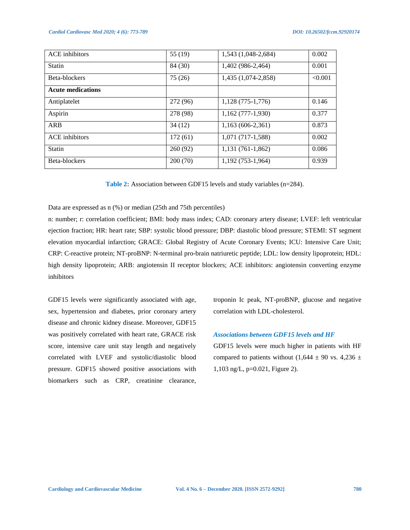| <b>ACE</b> inhibitors    | 55 (19)  | 1,543 (1,048-2,684) | 0.002   |
|--------------------------|----------|---------------------|---------|
| <b>Statin</b>            | 84 (30)  | 1,402 (986-2,464)   | 0.001   |
| Beta-blockers            | 75(26)   | 1,435 (1,074-2,858) | < 0.001 |
| <b>Acute medications</b> |          |                     |         |
| Antiplatelet             | 272 (96) | 1,128 (775-1,776)   | 0.146   |
| Aspirin                  | 278 (98) | $1,162(777-1,930)$  | 0.377   |
| <b>ARB</b>               | 34(12)   | $1,163(606-2,361)$  | 0.873   |
| <b>ACE</b> inhibitors    | 172(61)  | 1,071 (717-1,588)   | 0.002   |
| <b>Statin</b>            | 260(92)  | 1,131 (761-1,862)   | 0.086   |
| Beta-blockers            | 200(70)  | 1,192 (753-1,964)   | 0.939   |

**Table 2:** Association between GDF15 levels and study variables (n=284).

Data are expressed as n (%) or median (25th and 75th percentiles)

n: number; r: correlation coefficient; BMI: body mass index; CAD: coronary artery disease; LVEF: left ventricular ejection fraction; HR: heart rate; SBP: systolic blood pressure; DBP: diastolic blood pressure; STEMI: ST segment elevation myocardial infarction; GRACE: Global Registry of Acute Coronary Events; ICU: Intensive Care Unit; CRP: C-reactive protein; NT-proBNP: N-terminal pro-brain natriuretic peptide; LDL: low density lipoprotein; HDL: high density lipoprotein; ARB: angiotensin II receptor blockers; ACE inhibitors: angiotensin converting enzyme inhibitors

GDF15 levels were significantly associated with age, sex, hypertension and diabetes, prior coronary artery disease and chronic kidney disease. Moreover, GDF15 was positively correlated with heart rate, GRACE risk score, intensive care unit stay length and negatively correlated with LVEF and systolic/diastolic blood pressure. GDF15 showed positive associations with biomarkers such as CRP, creatinine clearance,

troponin Ic peak, NT-proBNP, glucose and negative correlation with LDL-cholesterol.

#### *Associations between GDF15 levels and HF*

GDF15 levels were much higher in patients with HF compared to patients without (1,644  $\pm$  90 vs. 4,236  $\pm$ 1,103 ng/L, p=0.021, Figure 2).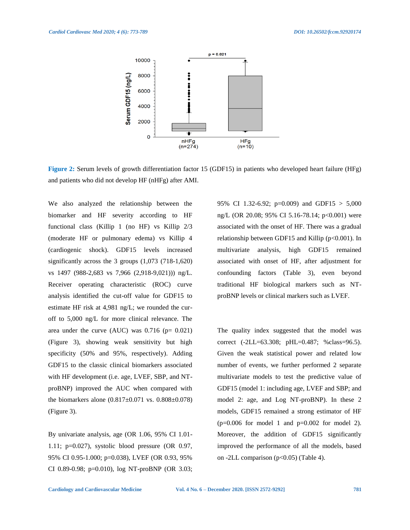

**Figure 2:** Serum levels of growth differentiation factor 15 (GDF15) in patients who developed heart failure (HFg) and patients who did not develop HF (nHFg) after AMI.

We also analyzed the relationship between the biomarker and HF severity according to HF functional class (Killip 1 (no HF) vs Killip 2/3 (moderate HF or pulmonary edema) vs Killip 4 (cardiogenic shock). GDF15 levels increased significantly across the 3 groups (1,073 (718-1,620) vs 1497 (988-2,683 vs 7,966 (2,918-9,021))) ng/L. Receiver operating characteristic (ROC) curve analysis identified the cut-off value for GDF15 to estimate HF risk at 4,981 ng/L; we rounded the curoff to 5,000 ng/L for more clinical relevance. The area under the curve (AUC) was  $0.716$  (p=  $0.021$ ) (Figure 3), showing weak sensitivity but high specificity (50% and 95%, respectively). Adding GDF15 to the classic clinical biomarkers associated with HF development (i.e. age, LVEF, SBP, and NTproBNP) improved the AUC when compared with the biomarkers alone (0.817±0.071 vs. 0.808±0.078) (Figure 3).

By univariate analysis, age (OR 1.06, 95% CI 1.01- 1.11; p=0.027), systolic blood pressure (OR 0.97, 95% CI 0.95-1.000; p=0.038), LVEF (OR 0.93, 95% CI 0.89-0.98; p=0.010), log NT-proBNP (OR 3.03; 95% CI 1.32-6.92; p=0.009) and GDF15 > 5,000 ng/L (OR 20.08; 95% CI 5.16-78.14; p<0.001) were associated with the onset of HF. There was a gradual relationship between GDF15 and Killip  $(p<0.001)$ . In multivariate analysis, high GDF15 remained associated with onset of HF, after adjustment for confounding factors (Table 3), even beyond traditional HF biological markers such as NTproBNP levels or clinical markers such as LVEF.

The quality index suggested that the model was correct (-2LL=63.308; pHL=0.487; %class=96.5). Given the weak statistical power and related low number of events, we further performed 2 separate multivariate models to test the predictive value of GDF15 (model 1: including age, LVEF and SBP; and model 2: age, and Log NT-proBNP). In these 2 models, GDF15 remained a strong estimator of HF  $(p=0.006$  for model 1 and  $p=0.002$  for model 2). Moreover, the addition of GDF15 significantly improved the performance of all the models, based on -2LL comparison ( $p<0.05$ ) (Table 4).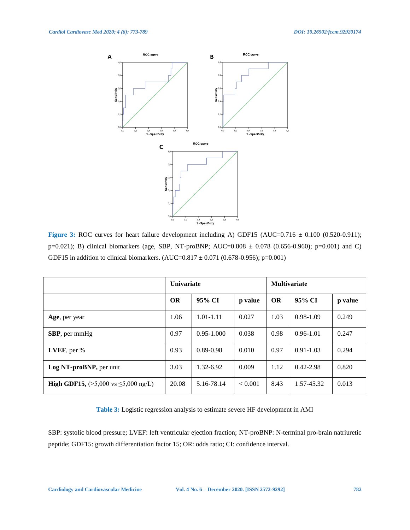

**Figure 3:** ROC curves for heart failure development including A) GDF15 (AUC=0.716  $\pm$  0.100 (0.520-0.911); p=0.021); B) clinical biomarkers (age, SBP, NT-proBNP; AUC=0.808 ± 0.078 (0.656-0.960); p=0.001) and C) GDF15 in addition to clinical biomarkers. (AUC= $0.817 \pm 0.071$  (0.678-0.956); p=0.001)

|                                                                   | <b>Univariate</b> |                |         | <b>Multivariate</b> |               |         |
|-------------------------------------------------------------------|-------------------|----------------|---------|---------------------|---------------|---------|
|                                                                   | <b>OR</b>         | 95% CI         | p value | <b>OR</b>           | 95% CI        | p value |
| Age, per year                                                     | 1.06              | $1.01 - 1.11$  | 0.027   | 1.03                | $0.98 - 1.09$ | 0.249   |
| <b>SBP</b> , per mmHg                                             | 0.97              | $0.95 - 1.000$ | 0.038   | 0.98                | $0.96 - 1.01$ | 0.247   |
| LVEF, per $%$                                                     | 0.93              | 0.89-0.98      | 0.010   | 0.97                | $0.91 - 1.03$ | 0.294   |
| Log NT-proBNP, per unit                                           | 3.03              | 1.32-6.92      | 0.009   | 1.12                | $0.42 - 2.98$ | 0.820   |
| <b>High GDF15,</b> $(>5,000 \text{ vs } \leq 5,000 \text{ ng/L})$ | 20.08             | 5.16-78.14     | < 0.001 | 8.43                | 1.57-45.32    | 0.013   |

**Table 3:** Logistic regression analysis to estimate severe HF development in AMI

SBP: systolic blood pressure; LVEF: left ventricular ejection fraction; NT-proBNP: N-terminal pro-brain natriuretic peptide; GDF15: growth differentiation factor 15; OR: odds ratio; CI: confidence interval.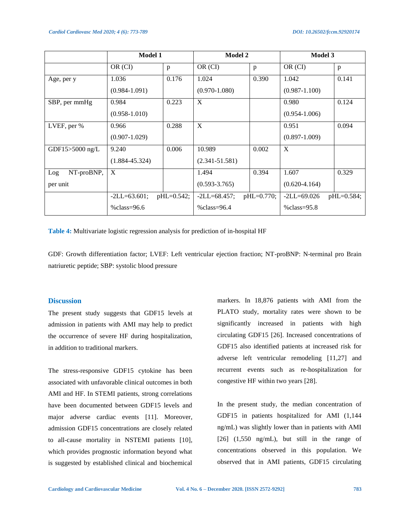|                   | <b>Model 1</b>     |              | Model 2            |              | Model 3           |              |
|-------------------|--------------------|--------------|--------------------|--------------|-------------------|--------------|
|                   | OR (CI)            | p            | OR (CI)            | p            | OR (CI)           | p            |
| Age, per y        | 1.036              | 0.176        | 1.024              | 0.390        | 1.042             | 0.141        |
|                   | $(0.984 - 1.091)$  |              | $(0.970 - 1.080)$  |              | $(0.987 - 1.100)$ |              |
| SBP, per mmHg     | 0.984              | 0.223        | X                  |              | 0.980             | 0.124        |
|                   | $(0.958 - 1.010)$  |              |                    |              | $(0.954 - 1.006)$ |              |
| LVEF, per %       | 0.966              | 0.288        | X                  |              | 0.951             | 0.094        |
|                   | $(0.907 - 1.029)$  |              |                    |              | $(0.897 - 1.009)$ |              |
| GDF15>5000 ng/L   | 9.240              | 0.006        | 10.989             | 0.002        | X                 |              |
|                   | $(1.884 - 45.324)$ |              | $(2.341 - 51.581)$ |              |                   |              |
| NT-proBNP,<br>Log | X                  |              | 1.494              | 0.394        | 1.607             | 0.329        |
| per unit          |                    |              | $(0.593 - 3.765)$  |              | $(0.620 - 4.164)$ |              |
|                   | $-2LL = 63.601;$   | $pHL=0.542;$ | $-2LL = 68.457;$   | $pHL=0.770;$ | $-2LL = 69.026$   | $pHL=0.584;$ |
|                   | % $class = 96.6$   |              | % $class = 96.4$   |              | $\%$ class=95.8   |              |

**Table 4:** Multivariate logistic regression analysis for prediction of in-hospital HF

GDF: Growth differentiation factor; LVEF: Left ventricular ejection fraction; NT-proBNP: N-terminal pro Brain natriuretic peptide; SBP: systolic blood pressure

#### **Discussion**

The present study suggests that GDF15 levels at admission in patients with AMI may help to predict the occurrence of severe HF during hospitalization, in addition to traditional markers.

The stress-responsive GDF15 cytokine has been associated with unfavorable clinical outcomes in both AMI and HF. In STEMI patients, strong correlations have been documented between GDF15 levels and major adverse cardiac events [11]. Moreover, admission GDF15 concentrations are closely related to all-cause mortality in NSTEMI patients [10], which provides prognostic information beyond what is suggested by established clinical and biochemical markers. In 18,876 patients with AMI from the PLATO study, mortality rates were shown to be significantly increased in patients with high circulating GDF15 [26]. Increased concentrations of GDF15 also identified patients at increased risk for adverse left ventricular remodeling [11,27] and recurrent events such as re-hospitalization for congestive HF within two years [28].

In the present study, the median concentration of GDF15 in patients hospitalized for AMI (1,144 ng/mL) was slightly lower than in patients with AMI [26] (1,550 ng/mL), but still in the range of concentrations observed in this population. We observed that in AMI patients, GDF15 circulating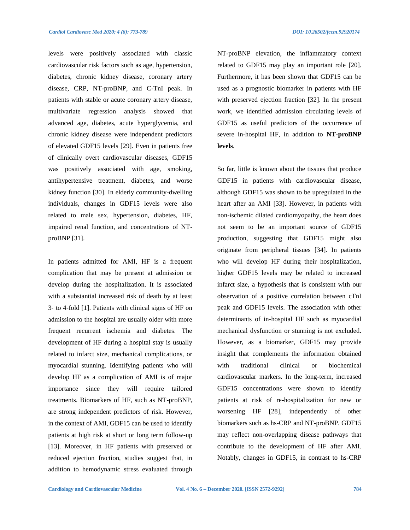levels were positively associated with classic cardiovascular risk factors such as age, hypertension, diabetes, chronic kidney disease, coronary artery disease, CRP, NT-proBNP, and C-TnI peak. In patients with stable or acute coronary artery disease, multivariate regression analysis showed that advanced age, diabetes, acute hyperglycemia, and chronic kidney disease were independent predictors of elevated GDF15 levels [29]. Even in patients free of clinically overt cardiovascular diseases, GDF15 was positively associated with age, smoking, antihypertensive treatment, diabetes, and worse kidney function [30]. In elderly community-dwelling individuals, changes in GDF15 levels were also related to male sex, hypertension, diabetes, HF, impaired renal function, and concentrations of NTproBNP [31].

In patients admitted for AMI, HF is a frequent complication that may be present at admission or develop during the hospitalization. It is associated with a substantial increased risk of death by at least 3‐ to 4‐fold [1]. Patients with clinical signs of HF on admission to the hospital are usually older with more frequent recurrent ischemia and diabetes. The development of HF during a hospital stay is usually related to infarct size, mechanical complications, or myocardial stunning. Identifying patients who will develop HF as a complication of AMI is of major importance since they will require tailored treatments. Biomarkers of HF, such as NT-proBNP, are strong independent predictors of risk. However, in the context of AMI, GDF15 can be used to identify patients at high risk at short or long term follow-up [13]. Moreover, in HF patients with preserved or reduced ejection fraction, studies suggest that, in addition to hemodynamic stress evaluated through NT-proBNP elevation, the inflammatory context related to GDF15 may play an important role [20]. Furthermore, it has been shown that GDF15 can be used as a prognostic biomarker in patients with HF with preserved ejection fraction [32]. In the present work, we identified admission circulating levels of GDF15 as useful predictors of the occurrence of severe in-hospital HF, in addition to **NT-proBNP levels**.

So far, little is known about the tissues that produce GDF15 in patients with cardiovascular disease, although GDF15 was shown to be upregulated in the heart after an AMI [33]. However, in patients with non-ischemic dilated cardiomyopathy, the heart does not seem to be an important source of GDF15 production, suggesting that GDF15 might also originate from peripheral tissues [34]. In patients who will develop HF during their hospitalization, higher GDF15 levels may be related to increased infarct size, a hypothesis that is consistent with our observation of a positive correlation between cTnI peak and GDF15 levels. The association with other determinants of in-hospital HF such as myocardial mechanical dysfunction or stunning is not excluded. However, as a biomarker, GDF15 may provide insight that complements the information obtained with traditional clinical or biochemical cardiovascular markers. In the long-term, increased GDF15 concentrations were shown to identify patients at risk of re-hospitalization for new or worsening HF [28], independently of other biomarkers such as hs-CRP and NT-proBNP. GDF15 may reflect non-overlapping disease pathways that contribute to the development of HF after AMI. Notably, changes in GDF15, in contrast to hs-CRP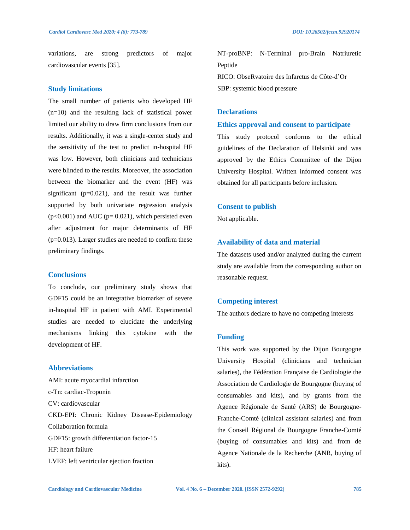variations, are strong predictors of major cardiovascular events [35].

#### **Study limitations**

The small number of patients who developed HF (n=10) and the resulting lack of statistical power limited our ability to draw firm conclusions from our results. Additionally, it was a single-center study and the sensitivity of the test to predict in-hospital HF was low. However, both clinicians and technicians were blinded to the results. Moreover, the association between the biomarker and the event (HF) was significant (p=0.021), and the result was further supported by both univariate regression analysis  $(p<0.001)$  and AUC ( $p= 0.021$ ), which persisted even after adjustment for major determinants of HF  $(p=0.013)$ . Larger studies are needed to confirm these preliminary findings.

# **Conclusions**

To conclude, our preliminary study shows that GDF15 could be an integrative biomarker of severe in-hospital HF in patient with AMI. Experimental studies are needed to elucidate the underlying mechanisms linking this cytokine with the development of HF.

# **Abbreviations**

AMI: acute myocardial infarction c-Tn: cardiac-Troponin CV: cardiovascular CKD-EPI: Chronic Kidney Disease-Epidemiology Collaboration formula GDF15: growth differentiation factor-15 HF: heart failure LVEF: left ventricular ejection fraction

NT-proBNP: N-Terminal pro-Brain Natriuretic Peptide RICO: ObseRvatoire des Infarctus de Côte-d'Or SBP: systemic blood pressure

# **Declarations**

#### **Ethics approval and consent to participate**

This study protocol conforms to the ethical guidelines of the Declaration of Helsinki and was approved by the Ethics Committee of the Dijon University Hospital. Written informed consent was obtained for all participants before inclusion.

#### **Consent to publish**

Not applicable.

# **Availability of data and material**

The datasets used and/or analyzed during the current study are available from the corresponding author on reasonable request.

#### **Competing interest**

The authors declare to have no competing interests

#### **Funding**

This work was supported by the Dijon Bourgogne University Hospital (clinicians and technician salaries), the Fédération Française de Cardiologie the Association de Cardiologie de Bourgogne (buying of consumables and kits), and by grants from the Agence Régionale de Santé (ARS) de Bourgogne-Franche-Comté (clinical assistant salaries) and from the Conseil Régional de Bourgogne Franche-Comté (buying of consumables and kits) and from de Agence Nationale de la Recherche (ANR, buying of kits).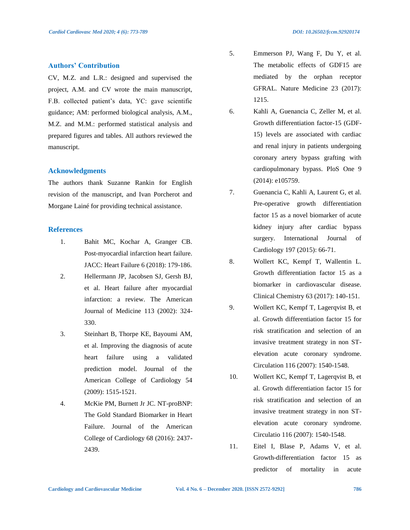#### **Authors' Contribution**

CV, M.Z. and L.R.: designed and supervised the project, A.M. and CV wrote the main manuscript, F.B. collected patient's data, YC: gave scientific guidance; AM: performed biological analysis, A.M., M.Z. and M.M.: performed statistical analysis and prepared figures and tables. All authors reviewed the manuscript.

#### **Acknowledgments**

The authors thank Suzanne Rankin for English revision of the manuscript, and Ivan Porcherot and Morgane Lainé for providing technical assistance.

# **References**

- 1. Bahit MC, Kochar A, Granger CB. Post-myocardial infarction heart failure. JACC: Heart Failure 6 (2018): 179-186.
- 2. Hellermann JP, Jacobsen SJ, Gersh BJ, et al. Heart failure after myocardial infarction: a review. The American Journal of Medicine 113 (2002): 324- 330.
- 3. Steinhart B, Thorpe KE, Bayoumi AM, et al. Improving the diagnosis of acute heart failure using a validated prediction model. Journal of the American College of Cardiology 54 (2009): 1515-1521.
- 4. McKie PM, Burnett Jr JC. NT-proBNP: The Gold Standard Biomarker in Heart Failure. Journal of the American College of Cardiology 68 (2016): 2437- 2439.
- 5. Emmerson PJ, Wang F, Du Y, et al. The metabolic effects of GDF15 are mediated by the orphan receptor GFRAL. Nature Medicine 23 (2017): 1215.
- 6. Kahli A, Guenancia C, Zeller M, et al. Growth differentiation factor-15 (GDF-15) levels are associated with cardiac and renal injury in patients undergoing coronary artery bypass grafting with cardiopulmonary bypass. PloS One 9 (2014): e105759.
- 7. Guenancia C, Kahli A, Laurent G, et al. Pre-operative growth differentiation factor 15 as a novel biomarker of acute kidney injury after cardiac bypass surgery. International Journal of Cardiology 197 (2015): 66-71.
- 8. Wollert KC, Kempf T, Wallentin L. Growth differentiation factor 15 as a biomarker in cardiovascular disease. Clinical Chemistry 63 (2017): 140-151.
- 9. Wollert KC, Kempf T, Lagerqvist B, et al. Growth differentiation factor 15 for risk stratification and selection of an invasive treatment strategy in non STelevation acute coronary syndrome. Circulation 116 (2007): 1540-1548.
- 10. Wollert KC, Kempf T, Lagerqvist B, et al. Growth differentiation factor 15 for risk stratification and selection of an invasive treatment strategy in non STelevation acute coronary syndrome. Circulatio 116 (2007): 1540-1548.
- 11. Eitel I, Blase P, Adams V, et al. Growth-differentiation factor 15 as predictor of mortality in acute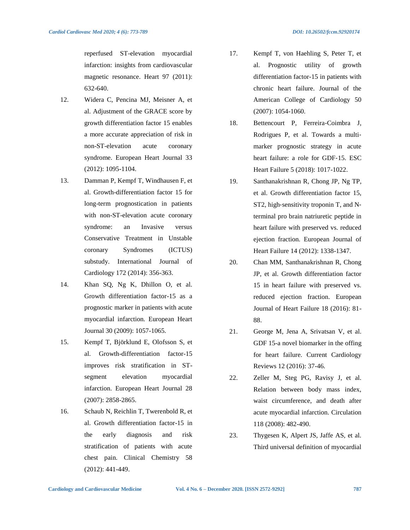reperfused ST-elevation myocardial infarction: insights from cardiovascular magnetic resonance. Heart 97 (2011): 632-640.

- 12. Widera C, Pencina MJ, Meisner A, et al. Adjustment of the GRACE score by growth differentiation factor 15 enables a more accurate appreciation of risk in non-ST-elevation acute coronary syndrome. European Heart Journal 33 (2012): 1095-1104.
- 13. Damman P, Kempf T, Windhausen F, et al. Growth-differentiation factor 15 for long-term prognostication in patients with non-ST-elevation acute coronary syndrome: an Invasive versus Conservative Treatment in Unstable coronary Syndromes (ICTUS) substudy. International Journal of Cardiology 172 (2014): 356-363.
- 14. Khan SQ, Ng K, Dhillon O, et al. Growth differentiation factor-15 as a prognostic marker in patients with acute myocardial infarction. European Heart Journal 30 (2009): 1057-1065.
- 15. Kempf T, Björklund E, Olofsson S, et al. Growth-differentiation factor-15 improves risk stratification in STsegment elevation myocardial infarction. European Heart Journal 28 (2007): 2858-2865.
- 16. Schaub N, Reichlin T, Twerenbold R, et al. Growth differentiation factor-15 in the early diagnosis and risk stratification of patients with acute chest pain. Clinical Chemistry 58 (2012): 441-449.
- 17. Kempf T, von Haehling S, Peter T, et al. Prognostic utility of growth differentiation factor-15 in patients with chronic heart failure. Journal of the American College of Cardiology 50 (2007): 1054-1060.
- 18. Bettencourt P, Ferreira‐Coimbra J, Rodrigues P, et al. Towards a multi‐ marker prognostic strategy in acute heart failure: a role for GDF‐15. ESC Heart Failure 5 (2018): 1017-1022.
- 19. Santhanakrishnan R, Chong JP, Ng TP, et al. Growth differentiation factor 15, ST2, high-sensitivity troponin T, and Nterminal pro brain natriuretic peptide in heart failure with preserved vs. reduced ejection fraction. European Journal of Heart Failure 14 (2012): 1338-1347.
- 20. Chan MM, Santhanakrishnan R, Chong JP, et al. Growth differentiation factor 15 in heart failure with preserved vs. reduced ejection fraction. European Journal of Heart Failure 18 (2016): 81- 88.
- 21. George M, Jena A, Srivatsan V, et al. GDF 15-a novel biomarker in the offing for heart failure. Current Cardiology Reviews 12 (2016): 37-46.
- 22. Zeller M, Steg PG, Ravisy J, et al. Relation between body mass index, waist circumference, and death after acute myocardial infarction. Circulation 118 (2008): 482-490.
- 23. Thygesen K, Alpert JS, Jaffe AS, et al. Third universal definition of myocardial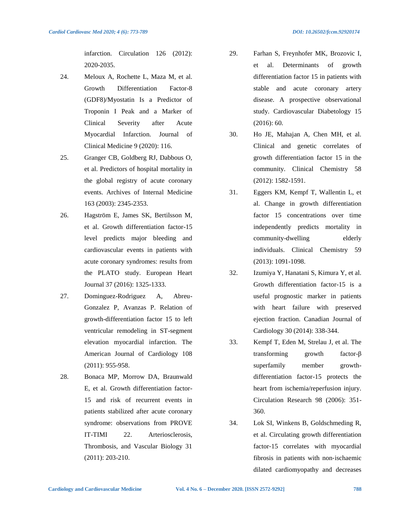- 24. Meloux A, Rochette L, Maza M, et al. Growth Differentiation Factor-8 (GDF8)/Myostatin Is a Predictor of Troponin I Peak and a Marker of Clinical Severity after Acute Myocardial Infarction. Journal of Clinical Medicine 9 (2020): 116.
- 25. Granger CB, Goldberg RJ, Dabbous O, et al. Predictors of hospital mortality in the global registry of acute coronary events. Archives of Internal Medicine 163 (2003): 2345-2353.
- 26. Hagström E, James SK, Bertilsson M, et al. Growth differentiation factor-15 level predicts major bleeding and cardiovascular events in patients with acute coronary syndromes: results from the PLATO study. European Heart Journal 37 (2016): 1325-1333.
- 27. Dominguez-Rodriguez A, Abreu-Gonzalez P, Avanzas P. Relation of growth-differentiation factor 15 to left ventricular remodeling in ST-segment elevation myocardial infarction. The American Journal of Cardiology 108 (2011): 955-958.
- 28. Bonaca MP, Morrow DA, Braunwald E, et al. Growth differentiation factor-15 and risk of recurrent events in patients stabilized after acute coronary syndrome: observations from PROVE IT-TIMI 22. Arteriosclerosis, Thrombosis, and Vascular Biology 31 (2011): 203-210.
- 29. Farhan S, Freynhofer MK, Brozovic I, et al. Determinants of growth differentiation factor 15 in patients with stable and acute coronary artery disease. A prospective observational study. Cardiovascular Diabetology 15 (2016): 60.
- 30. Ho JE, Mahajan A, Chen MH, et al. Clinical and genetic correlates of growth differentiation factor 15 in the community. Clinical Chemistry 58 (2012): 1582-1591.
- 31. Eggers KM, Kempf T, Wallentin L, et al. Change in growth differentiation factor 15 concentrations over time independently predicts mortality in community-dwelling elderly individuals. Clinical Chemistry 59 (2013): 1091-1098.
- 32. Izumiya Y, Hanatani S, Kimura Y, et al. Growth differentiation factor-15 is a useful prognostic marker in patients with heart failure with preserved ejection fraction. Canadian Journal of Cardiology 30 (2014): 338-344.
- 33. Kempf T, Eden M, Strelau J, et al. The transforming growth factor-β superfamily member growthdifferentiation factor-15 protects the heart from ischemia/reperfusion injury. Circulation Research 98 (2006): 351- 360.
- 34. Lok SI, Winkens B, Goldschmeding R, et al. Circulating growth differentiation factor‐15 correlates with myocardial fibrosis in patients with non‐ischaemic dilated cardiomyopathy and decreases